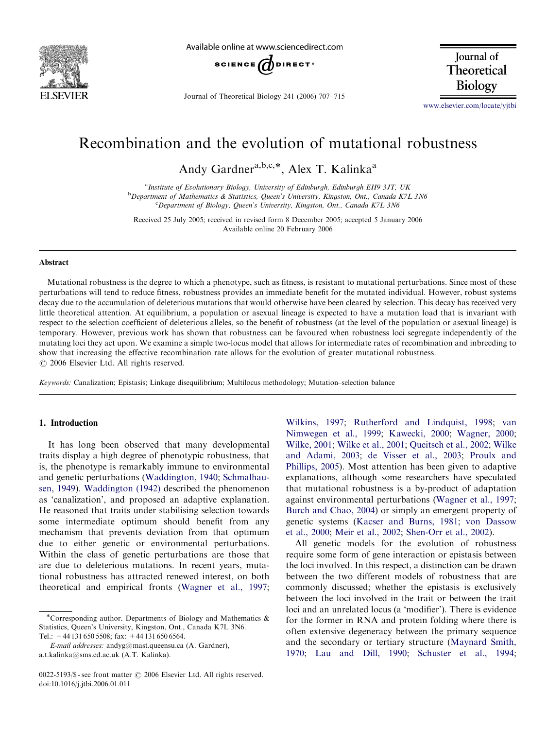

Available online at www.sciencedirect.com



Journal of Theoretical Biology 241 (2006) 707–715

Journal of Theoretical **Biology** 

<www.elsevier.com/locate/yjtbi>

# Recombination and the evolution of mutational robustness

Andy Gardner<sup>a,b,c,\*</sup>, Alex T. Kalinka<sup>a</sup>

<sup>a</sup>Institute of Evolutionary Biology, University of Edinburgh, Edinburgh EH9 3JT, UK <sup>b</sup>Department of Mathematics & Statistics, Queen's University, Kingston, Ont., Canada K7L 3N6 <sup>c</sup>Department of Biology, Queen's University, Kingston, Ont., Canada K7L 3N6

Received 25 July 2005; received in revised form 8 December 2005; accepted 5 January 2006 Available online 20 February 2006

#### Abstract

Mutational robustness is the degree to which a phenotype, such as fitness, is resistant to mutational perturbations. Since most of these perturbations will tend to reduce fitness, robustness provides an immediate benefit for the mutated individual. However, robust systems decay due to the accumulation of deleterious mutations that would otherwise have been cleared by selection. This decay has received very little theoretical attention. At equilibrium, a population or asexual lineage is expected to have a mutation load that is invariant with respect to the selection coefficient of deleterious alleles, so the benefit of robustness (at the level of the population or asexual lineage) is temporary. However, previous work has shown that robustness can be favoured when robustness loci segregate independently of the mutating loci they act upon. We examine a simple two-locus model that allows for intermediate rates of recombination and inbreeding to show that increasing the effective recombination rate allows for the evolution of greater mutational robustness.  $\odot$  2006 Elsevier Ltd. All rights reserved.

Keywords: Canalization; Epistasis; Linkage disequilibrium; Multilocus methodology; Mutation–selection balance

# 1. Introduction

It has long been observed that many developmental traits display a high degree of phenotypic robustness, that is, the phenotype is remarkably immune to environmental and genetic perturbations [\(Waddington, 1940](#page-8-0); [Schmalhau](#page-8-0)[sen, 1949](#page-8-0)). [Waddington \(1942\)](#page-8-0) described the phenomenon as 'canalization', and proposed an adaptive explanation. He reasoned that traits under stabilising selection towards some intermediate optimum should benefit from any mechanism that prevents deviation from that optimum due to either genetic or environmental perturbations. Within the class of genetic perturbations are those that are due to deleterious mutations. In recent years, mutational robustness has attracted renewed interest, on both theoretical and empirical fronts [\(Wagner et al., 1997;](#page-8-0) [Wilkins, 1997;](#page-8-0) [Rutherford and Lindquist, 1998;](#page-8-0) [van](#page-8-0) [Nimwegen et al., 1999](#page-8-0); [Kawecki, 2000](#page-8-0); [Wagner, 2000;](#page-8-0) [Wilke, 2001;](#page-8-0) [Wilke et al., 2001;](#page-8-0) [Queitsch et al., 2002](#page-8-0); [Wilke](#page-8-0) [and Adami, 2003;](#page-8-0) [de Visser et al., 2003;](#page-8-0) [Proulx and](#page-8-0) [Phillips, 2005](#page-8-0)). Most attention has been given to adaptive explanations, although some researchers have speculated that mutational robustness is a by-product of adaptation against environmental perturbations [\(Wagner et al., 1997;](#page-8-0) [Burch and Chao, 2004](#page-7-0)) or simply an emergent property of genetic systems [\(Kacser and Burns, 1981;](#page-8-0) [von Dassow](#page-8-0) [et al., 2000;](#page-8-0) [Meir et al., 2002](#page-8-0); [Shen-Orr et al., 2002\)](#page-8-0).

All genetic models for the evolution of robustness require some form of gene interaction or epistasis between the loci involved. In this respect, a distinction can be drawn between the two different models of robustness that are commonly discussed; whether the epistasis is exclusively between the loci involved in the trait or between the trait loci and an unrelated locus (a 'modifier'). There is evidence for the former in RNA and protein folding where there is often extensive degeneracy between the primary sequence and the secondary or tertiary structure ([Maynard Smith,](#page-8-0) [1970](#page-8-0); [Lau and Dill, 1990](#page-8-0); [Schuster et al., 1994;](#page-8-0)

Corresponding author. Departments of Biology and Mathematics & Statistics, Queen's University, Kingston, Ont., Canada K7L 3N6. Tel.: +44 131 650 5508; fax: +44 131 650 6564.

E-mail addresses: andyg@mast.queensu.ca (A. Gardner), a.t.kalinka@sms.ed.ac.uk (A.T. Kalinka).

<sup>0022-5193/\$ -</sup> see front matter © 2006 Elsevier Ltd. All rights reserved. doi:10.1016/j.jtbi.2006.01.011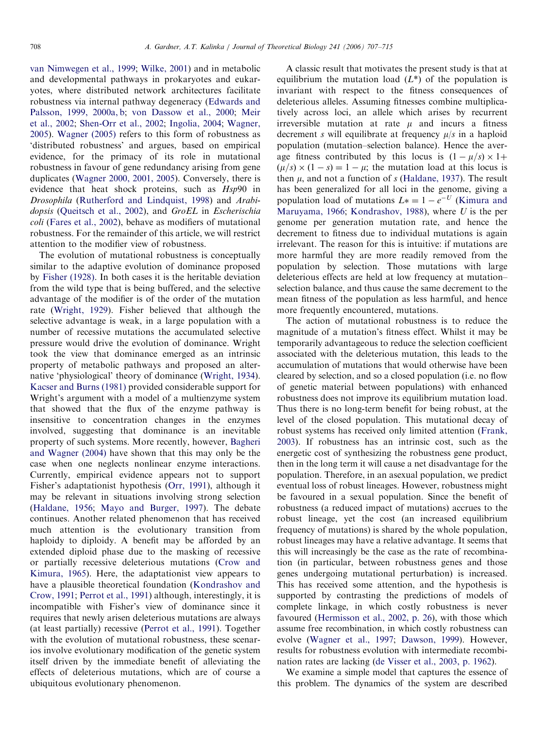[van Nimwegen et al., 1999;](#page-8-0) [Wilke, 2001\)](#page-8-0) and in metabolic and developmental pathways in prokaryotes and eukaryotes, where distributed network architectures facilitate robustness via internal pathway degeneracy ([Edwards and](#page-8-0) [Palsson, 1999, 2000a, b;](#page-8-0) [von Dassow et al., 2000](#page-8-0); [Meir](#page-8-0) [et al., 2002;](#page-8-0) [Shen-Orr et al., 2002](#page-8-0); [Ingolia, 2004](#page-8-0); [Wagner,](#page-8-0) [2005\)](#page-8-0). [Wagner \(2005\)](#page-8-0) refers to this form of robustness as 'distributed robustness' and argues, based on empirical evidence, for the primacy of its role in mutational robustness in favour of gene redundancy arising from gene duplicates [\(Wagner 2000, 2001, 2005](#page-8-0)). Conversely, there is evidence that heat shock proteins, such as Hsp90 in Drosophila [\(Rutherford and Lindquist, 1998](#page-8-0)) and Arabi-dopsis ([Queitsch et al., 2002](#page-8-0)), and GroEL in Escherischia coli [\(Fares et al., 2002](#page-8-0)), behave as modifiers of mutational robustness. For the remainder of this article, we will restrict attention to the modifier view of robustness.

The evolution of mutational robustness is conceptually similar to the adaptive evolution of dominance proposed by [Fisher \(1928\).](#page-8-0) In both cases it is the heritable deviation from the wild type that is being buffered, and the selective advantage of the modifier is of the order of the mutation rate ([Wright, 1929\)](#page-8-0). Fisher believed that although the selective advantage is weak, in a large population with a number of recessive mutations the accumulated selective pressure would drive the evolution of dominance. Wright took the view that dominance emerged as an intrinsic property of metabolic pathways and proposed an alternative 'physiological' theory of dominance ([Wright, 1934\)](#page-8-0). [Kacser and Burns \(1981\)](#page-8-0) provided considerable support for Wright's argument with a model of a multienzyme system that showed that the flux of the enzyme pathway is insensitive to concentration changes in the enzymes involved, suggesting that dominance is an inevitable property of such systems. More recently, however, [Bagheri](#page-7-0) [and Wagner \(2004\)](#page-7-0) have shown that this may only be the case when one neglects nonlinear enzyme interactions. Currently, empirical evidence appears not to support Fisher's adaptationist hypothesis [\(Orr, 1991](#page-8-0)), although it may be relevant in situations involving strong selection [\(Haldane, 1956](#page-8-0); [Mayo and Burger, 1997](#page-8-0)). The debate continues. Another related phenomenon that has received much attention is the evolutionary transition from haploidy to diploidy. A benefit may be afforded by an extended diploid phase due to the masking of recessive or partially recessive deleterious mutations ([Crow and](#page-8-0) [Kimura, 1965\)](#page-8-0). Here, the adaptationist view appears to have a plausible theoretical foundation [\(Kondrashov and](#page-8-0) [Crow, 1991;](#page-8-0) [Perrot et al., 1991](#page-8-0)) although, interestingly, it is incompatible with Fisher's view of dominance since it requires that newly arisen deleterious mutations are always (at least partially) recessive [\(Perrot et al., 1991\)](#page-8-0). Together with the evolution of mutational robustness, these scenarios involve evolutionary modification of the genetic system itself driven by the immediate benefit of alleviating the effects of deleterious mutations, which are of course a ubiquitous evolutionary phenomenon.

A classic result that motivates the present study is that at equilibrium the mutation load  $(L^*)$  of the population is invariant with respect to the fitness consequences of deleterious alleles. Assuming fitnesses combine multiplicatively across loci, an allele which arises by recurrent irreversible mutation at rate  $\mu$  and incurs a fitness decrement s will equilibrate at frequency  $\mu/s$  in a haploid population (mutation–selection balance). Hence the average fitness contributed by this locus is  $(1 - \mu/s) \times 1 +$  $(\mu/s) \times (1 - s) = 1 - \mu$ ; the mutation load at this locus is then  $\mu$ , and not a function of s ([Haldane, 1937\)](#page-8-0). The result has been generalized for all loci in the genome, giving a population load of mutations  $L* = 1 - e^{-U}$  ([Kimura and](#page-8-0) [Maruyama, 1966](#page-8-0); [Kondrashov, 1988\)](#page-8-0), where U is the per genome per generation mutation rate, and hence the decrement to fitness due to individual mutations is again irrelevant. The reason for this is intuitive: if mutations are more harmful they are more readily removed from the population by selection. Those mutations with large deleterious effects are held at low frequency at mutation– selection balance, and thus cause the same decrement to the mean fitness of the population as less harmful, and hence more frequently encountered, mutations.

The action of mutational robustness is to reduce the magnitude of a mutation's fitness effect. Whilst it may be temporarily advantageous to reduce the selection coefficient associated with the deleterious mutation, this leads to the accumulation of mutations that would otherwise have been cleared by selection, and so a closed population (i.e. no flow of genetic material between populations) with enhanced robustness does not improve its equilibrium mutation load. Thus there is no long-term benefit for being robust, at the level of the closed population. This mutational decay of robust systems has received only limited attention ([Frank,](#page-8-0) [2003](#page-8-0)). If robustness has an intrinsic cost, such as the energetic cost of synthesizing the robustness gene product, then in the long term it will cause a net disadvantage for the population. Therefore, in an asexual population, we predict eventual loss of robust lineages. However, robustness might be favoured in a sexual population. Since the benefit of robustness (a reduced impact of mutations) accrues to the robust lineage, yet the cost (an increased equilibrium frequency of mutations) is shared by the whole population, robust lineages may have a relative advantage. It seems that this will increasingly be the case as the rate of recombination (in particular, between robustness genes and those genes undergoing mutational perturbation) is increased. This has received some attention, and the hypothesis is supported by contrasting the predictions of models of complete linkage, in which costly robustness is never favoured [\(Hermisson et al., 2002, p. 26](#page-8-0)), with those which assume free recombination, in which costly robustness can evolve [\(Wagner et al., 1997](#page-8-0); [Dawson, 1999](#page-8-0)). However, results for robustness evolution with intermediate recombination rates are lacking [\(de Visser et al., 2003, p. 1962](#page-8-0)).

We examine a simple model that captures the essence of this problem. The dynamics of the system are described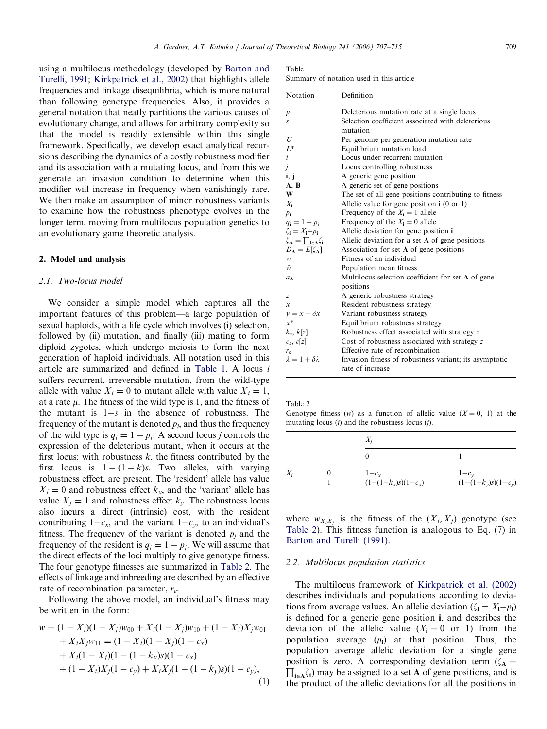using a multilocus methodology (developed by [Barton and](#page-7-0) [Turelli, 1991;](#page-7-0) [Kirkpatrick et al., 2002](#page-8-0)) that highlights allele frequencies and linkage disequilibria, which is more natural than following genotype frequencies. Also, it provides a general notation that neatly partitions the various causes of evolutionary change, and allows for arbitrary complexity so that the model is readily extensible within this single framework. Specifically, we develop exact analytical recursions describing the dynamics of a costly robustness modifier and its association with a mutating locus, and from this we generate an invasion condition to determine when this modifier will increase in frequency when vanishingly rare. We then make an assumption of minor robustness variants to examine how the robustness phenotype evolves in the longer term, moving from multilocus population genetics to an evolutionary game theoretic analysis.

#### 2. Model and analysis

### 2.1. Two-locus model

We consider a simple model which captures all the important features of this problem—a large population of sexual haploids, with a life cycle which involves (i) selection, followed by (ii) mutation, and finally (iii) mating to form diploid zygotes, which undergo meiosis to form the next generation of haploid individuals. All notation used in this article are summarized and defined in Table 1. A locus i suffers recurrent, irreversible mutation, from the wild-type allele with value  $X_i = 0$  to mutant allele with value  $X_i = 1$ , at a rate  $\mu$ . The fitness of the wild type is 1, and the fitness of the mutant is  $1-s$  in the absence of robustness. The frequency of the mutant is denoted  $p_i$ , and thus the frequency of the wild type is  $q_i = 1 - p_i$ . A second locus j controls the expression of the deleterious mutant, when it occurs at the first locus: with robustness  $k$ , the fitness contributed by the first locus is  $1 - (1 - k)s$ . Two alleles, with varying robustness effect, are present. The 'resident' allele has value  $X_i = 0$  and robustness effect  $k_x$ , and the 'variant' allele has value  $X_j = 1$  and robustness effect  $k_y$ . The robustness locus also incurs a direct (intrinsic) cost, with the resident contributing  $1-c_x$ , and the variant  $1-c_y$ , to an individual's fitness. The frequency of the variant is denoted  $p_i$  and the frequency of the resident is  $q_i = 1 - p_i$ . We will assume that the direct effects of the loci multiply to give genotype fitness. The four genotype fitnesses are summarized in Table 2. The effects of linkage and inbreeding are described by an effective rate of recombination parameter,  $r_e$ .

Following the above model, an individual's fitness may be written in the form:

$$
w = (1 - X_i)(1 - X_j)w_{00} + X_i(1 - X_j)w_{10} + (1 - X_i)X_jw_{01}
$$
  
+  $X_iX_jw_{11} = (1 - X_i)(1 - X_j)(1 - c_x)$   
+  $X_i(1 - X_j)(1 - (1 - k_x)s)(1 - c_x)$   
+  $(1 - X_i)X_j(1 - c_y) + X_iX_j(1 - (1 - k_y)s)(1 - c_y),$  (1)

| Table 1                                  |  |  |
|------------------------------------------|--|--|
| Summary of notation used in this article |  |  |

| Notation                                                                    | Definition                                             |
|-----------------------------------------------------------------------------|--------------------------------------------------------|
| $\mu$                                                                       | Deleterious mutation rate at a single locus            |
| S                                                                           | Selection coefficient associated with deleterious      |
|                                                                             | mutation                                               |
| U                                                                           | Per genome per generation mutation rate                |
| $L^*$                                                                       | Equilibrium mutation load                              |
| i                                                                           | Locus under recurrent mutation                         |
| $\dot{I}$                                                                   | Locus controlling robustness                           |
| i, j                                                                        | A generic gene position                                |
| A, B                                                                        | A generic set of gene positions                        |
| W                                                                           | The set of all gene positions contributing to fitness  |
| $X_i$                                                                       | Allelic value for gene position $\mathbf{i}$ (0 or 1)  |
| $p_i$                                                                       | Frequency of the $X_i = 1$ allele                      |
| $q_i = 1 - p_i$                                                             | Frequency of the $X_i = 0$ allele                      |
| $\zeta_i = X_i - p_i$                                                       | Allelic deviation for gene position i                  |
| $\zeta_{\mathbf{A}} = \prod_{\mathbf{i} \in \mathbf{A}} \zeta_{\mathbf{i}}$ | Allelic deviation for a set $A$ of gene positions      |
| $D_A = E[\zeta_A]$                                                          | Association for set A of gene positions                |
| w                                                                           | Fitness of an individual                               |
| ŵ                                                                           | Population mean fitness                                |
| $a_{\Lambda}$                                                               | Multilocus selection coefficient for set A of gene     |
|                                                                             | positions                                              |
| Z                                                                           | A generic robustness strategy                          |
| $\mathcal{X}$                                                               | Resident robustness strategy                           |
| $y = x + \delta x$                                                          | Variant robustness strategy                            |
| $x^*$                                                                       | Equilibrium robustness strategy                        |
| $k_z, k[z]$                                                                 | Robustness effect associated with strategy z           |
| $c_z$ , $c[z]$                                                              | Cost of robustness associated with strategy z          |
| $r_{\rm e}$                                                                 | Effective rate of recombination                        |
| $\lambda = 1 + \delta \lambda$                                              | Invasion fitness of robustness variant; its asymptotic |
|                                                                             | rate of increase                                       |

Table 2

Genotype fitness (w) as a function of allelic value  $(X = 0, 1)$  at the mutating locus  $(i)$  and the robustness locus  $(i)$ .

|       |   | $X_i$                            |                                  |  |
|-------|---|----------------------------------|----------------------------------|--|
|       |   | $\mathbf{0}$                     |                                  |  |
| $X_i$ | 0 | $1-c_x$<br>$(1-(1-k_x)s)(1-c_x)$ | $1-c_v$<br>$(1-(1-k_y)s)(1-c_y)$ |  |

where  $w_{X_i}$  is the fitness of the  $(X_i, X_j)$  genotype (see Table 2). This fitness function is analogous to Eq. (7) in [Barton and Turelli \(1991\)](#page-7-0).

#### 2.2. Multilocus population statistics

The multilocus framework of [Kirkpatrick et al. \(2002\)](#page-8-0) describes individuals and populations according to deviations from average values. An allelic deviation  $(\zeta_i = X_i - p_i)$ is defined for a generic gene position i, and describes the deviation of the allelic value  $(X_i = 0 \text{ or } 1)$  from the population average  $(p_i)$  at that position. Thus, the population average allelic deviation for a single gene position is zero. A corresponding deviation term ( $\zeta_A$  =  $\prod_{i \in A} \zeta_i$ ) may be assigned to a set A of gene positions, and is the product of the allelic deviations for all the positions in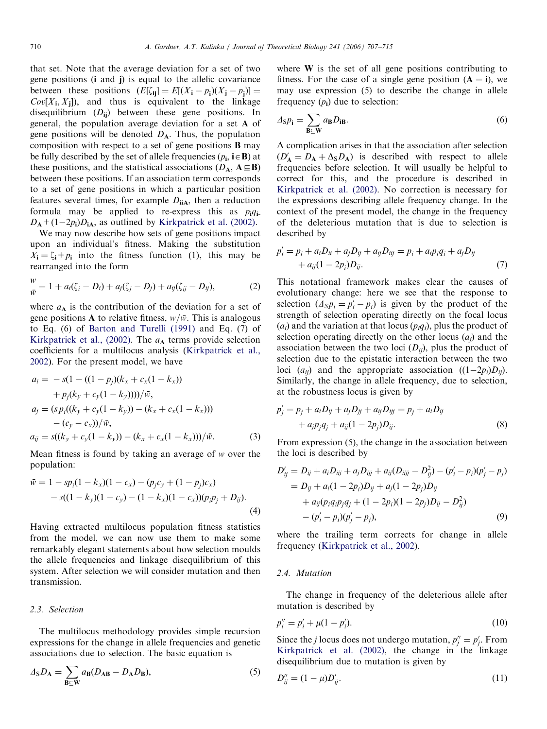that set. Note that the average deviation for a set of two gene positions (i and j) is equal to the allelic covariance between these positions  $(E[\zeta_{ii}] = E[(X_i - p_i)(X_i - p_i)] =$  $Cov[X_i, X_j]$ , and thus is equivalent to the linkage disequilibrium  $(D_{ii})$  between these gene positions. In general, the population average deviation for a set A of gene positions will be denoted  $D_A$ . Thus, the population composition with respect to a set of gene positions B may be fully described by the set of allele frequencies  $(p_i, i \in B)$  at these positions, and the statistical associations ( $D_A$ ,  $A \subseteq B$ ) between these positions. If an association term corresponds to a set of gene positions in which a particular position features several times, for example  $D_{\text{iiA}}$ , then a reduction formula may be applied to re-express this as  $p_iq_i$ .  $D_A + (1-2p_i)D_{iA}$ , as outlined by [Kirkpatrick et al. \(2002\).](#page-8-0)

We may now describe how sets of gene positions impact upon an individual's fitness. Making the substitution  $X_i = \zeta_i + p_i$  into the fitness function (1), this may be rearranged into the form

$$
\frac{w}{\bar{w}} = 1 + a_i(\zeta_i - D_i) + a_j(\zeta_j - D_j) + a_{ij}(\zeta_{ij} - D_{ij}),
$$
\n(2)

where  $a_{\mathbf{A}}$  is the contribution of the deviation for a set of gene positions A to relative fitness,  $w/\bar{w}$ . This is analogous to Eq. (6) of [Barton and Turelli \(1991\)](#page-7-0) and Eq. (7) of [Kirkpatrick et al., \(2002\)](#page-8-0). The  $a<sub>A</sub>$  terms provide selection coefficients for a multilocus analysis ([Kirkpatrick et al.,](#page-8-0) [2002\)](#page-8-0). For the present model, we have

$$
a_i = -s(1 - ((1 - p_j)(k_x + c_x(1 - k_x)))
$$
  
+  $p_j(k_y + c_y(1 - k_y))))/\bar{w}$ ,  

$$
a_j = (s p_i((k_y + c_y(1 - k_y)) - (k_x + c_x(1 - k_x)))
$$
  
-  $(c_y - c_x))/\bar{w}$ ,  

$$
a_{ij} = s((k_y + c_y(1 - k_y)) - (k_x + c_x(1 - k_x)))/\bar{w}
$$
. (3)

Mean fitness is found by taking an average of  $w$  over the population:

$$
\bar{w} = 1 - sp_i(1 - k_x)(1 - c_x) - (p_j c_y + (1 - p_j)c_x)
$$
  
- s((1 - k\_y)(1 - c\_y) - (1 - k\_x)(1 - c\_x))(p\_ip\_j + D\_{ij}). (4)

Having extracted multilocus population fitness statistics from the model, we can now use them to make some remarkably elegant statements about how selection moulds the allele frequencies and linkage disequilibrium of this system. After selection we will consider mutation and then transmission.

# 2.3. Selection

The multilocus methodology provides simple recursion expressions for the change in allele frequencies and genetic associations due to selection. The basic equation is

$$
\Delta_{\rm S} D_{\rm A} = \sum_{\rm B \subseteq W} a_{\rm B} (D_{\rm AB} - D_{\rm A} D_{\rm B}),\tag{5}
$$

where  $W$  is the set of all gene positions contributing to fitness. For the case of a single gene position  $(A = i)$ , we may use expression (5) to describe the change in allele frequency  $(p_i)$  due to selection:

$$
\Delta_{\rm S} p_{\rm i} = \sum_{\rm B \subseteq W} a_{\rm B} D_{\rm iB}.
$$
 (6)

A complication arises in that the association after selection  $(D'_A = D_A + \Delta_S D_A)$  is described with respect to allele frequencies before selection. It will usually be helpful to correct for this, and the procedure is described in [Kirkpatrick et al. \(2002\).](#page-8-0) No correction is necessary for the expressions describing allele frequency change. In the context of the present model, the change in the frequency of the deleterious mutation that is due to selection is described by

$$
p'_{i} = p_{i} + a_{i}D_{ii} + a_{j}D_{ij} + a_{ij}D_{ij} = p_{i} + a_{i}p_{i}q_{i} + a_{j}D_{ij} + a_{ij}(1 - 2p_{i})D_{ij}.
$$
\n(7)

This notational framework makes clear the causes of evolutionary change: here we see that the response to selection  $(\Delta s p_i = p'_i - p_i)$  is given by the product of the strength of selection operating directly on the focal locus  $(a_i)$  and the variation at that locus  $(p_i q_i)$ , plus the product of selection operating directly on the other locus  $(a_i)$  and the association between the two loci  $(D_{ii})$ , plus the product of selection due to the epistatic interaction between the two loci  $(a_{ii})$  and the appropriate association  $((1-2p_i)D_{ii})$ . Similarly, the change in allele frequency, due to selection, at the robustness locus is given by

$$
p'_{j} = p_{j} + a_{i}D_{ij} + a_{j}D_{jj} + a_{ij}D_{ijj} = p_{j} + a_{i}D_{ij} + a_{j}p_{j}q_{j} + a_{ij}(1 - 2p_{j})D_{ij}.
$$
\n(8)

From expression (5), the change in the association between the loci is described by

$$
D'_{ij} = D_{ij} + a_i D_{ijj} + a_j D_{ijj} + a_{ij} (D_{iijj} - D_{ij}^2) - (p'_i - p_i)(p'_j - p_j)
$$
  
= 
$$
D_{ij} + a_i (1 - 2p_i) D_{ij} + a_j (1 - 2p_j) D_{ij}
$$
  
+ 
$$
a_{ij} (p_i q_i p_j q_j + (1 - 2p_i)(1 - 2p_j) D_{ij} - D_{ij}^2)
$$
  
- 
$$
(p'_i - p_i)(p'_j - p_j),
$$
 (9)

where the trailing term corrects for change in allele frequency [\(Kirkpatrick et al., 2002](#page-8-0)).

#### 2.4. Mutation

The change in frequency of the deleterious allele after mutation is described by

$$
p_i'' = p_i' + \mu(1 - p_i'). \tag{10}
$$

Since the *j* locus does not undergo mutation,  $p''_j = p'_j$ . From [Kirkpatrick et al. \(2002\),](#page-8-0) the change in the linkage disequilibrium due to mutation is given by

$$
D_{ij}'' = (1 - \mu)D_{ij}'.\tag{11}
$$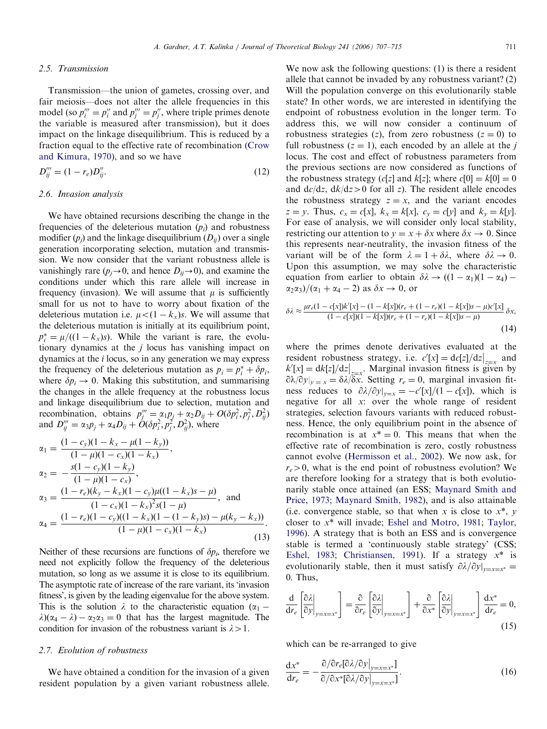## 2.5. Transmission

Transmission—the union of gametes, crossing over, and fair meiosis—does not alter the allele frequencies in this model (so  $p_i''' = p_i''$  and  $p_j''' = p_j''$ , where triple primes denote the variable is measured after transmission), but it does impact on the linkage disequilibrium. This is reduced by a fraction equal to the effective rate of recombination ([Crow](#page-8-0) [and Kimura, 1970](#page-8-0)), and so we have

$$
D_{ij}''' = (1 - r_e)D_{ij}''.
$$
\n(12)

#### 2.6. Invasion analysis

We have obtained recursions describing the change in the frequencies of the deleterious mutation  $(p_i)$  and robustness modifier  $(p_j)$  and the linkage disequilibrium  $(D_{ij})$  over a single generation incorporating selection, mutation and transmission. We now consider that the variant robustness allele is vanishingly rare ( $p_i \rightarrow 0$ , and hence  $D_{ii} \rightarrow 0$ ), and examine the conditions under which this rare allele will increase in frequency (invasion). We will assume that  $\mu$  is sufficiently small for us not to have to worry about fixation of the deleterious mutation i.e.  $\mu < (1 - k_x)s$ . We will assume that the deleterious mutation is initially at its equilibrium point,  $p_i^* = \mu/((1 - k_x)s)$ . While the variant is rare, the evolutionary dynamics at the  $j$  locus has vanishing impact on dynamics at the i locus, so in any generation we may express the frequency of the deleterious mutation as  $p_i = p_i^* + \delta p_i$ , where  $\delta p_i \rightarrow 0$ . Making this substitution, and summarising the changes in the allele frequency at the robustness locus and linkage disequilibrium due to selection, mutation and recombination, obtains  $p_j''' = \alpha_1 p_j + \alpha_2 D_{ij} + O(\delta p_i^2, p_j^2, D_{ij}^2)$ and  $D_{ij}''' = \alpha_3 p_j + \alpha_4 D_{ij} + O(\delta p_i^2, p_j^2, D_{ij}^2)$ , where

$$
\alpha_1 = \frac{(1 - c_y)(1 - k_x - \mu(1 - k_y))}{(1 - \mu)(1 - c_x)(1 - k_x)},
$$
  
\n
$$
\alpha_2 = -\frac{s(1 - c_y)(1 - k_y)}{(1 - \mu)(1 - c_x)},
$$
  
\n
$$
\alpha_3 = \frac{(1 - r_e)(k_y - k_x)(1 - c_y)\mu((1 - k_x)s - \mu)}{(1 - c_x)(1 - k_x)^2 s(1 - \mu)},
$$
 and  
\n
$$
\alpha_4 = \frac{(1 - r_e)(1 - c_y)((1 - k_x)(1 - (1 - k_y)s) - \mu(k_y - k_x))}{(1 - \mu)(1 - c_x)(1 - k_x)}.
$$
\n(13)

Neither of these recursions are functions of  $\delta p_i$ , therefore we need not explicitly follow the frequency of the deleterious mutation, so long as we assume it is close to its equilibrium. The asymptotic rate of increase of the rare variant, its 'invasion fitness', is given by the leading eigenvalue for the above system. This is the solution  $\lambda$  to the characteristic equation  $(\alpha_1 \lambda$ )( $\alpha_4 - \lambda$ ) –  $\alpha_2 \alpha_3 = 0$  that has the largest magnitude. The condition for invasion of the robustness variant is  $\lambda > 1$ .

#### 2.7. Evolution of robustness

We have obtained a condition for the invasion of a given resident population by a given variant robustness allele.

We now ask the following questions: (1) is there a resident allele that cannot be invaded by any robustness variant? (2) Will the population converge on this evolutionarily stable state? In other words, we are interested in identifying the endpoint of robustness evolution in the longer term. To address this, we will now consider a continuum of robustness strategies (z), from zero robustness ( $z = 0$ ) to full robustness  $(z = 1)$ , each encoded by an allele at the j locus. The cost and effect of robustness parameters from the previous sections are now considered as functions of the robustness strategy (c[z] and k[z]; where  $c[0] = k[0] = 0$ and  $dc/dz$ ,  $dk/dz>0$  for all z). The resident allele encodes the robustness strategy  $z = x$ , and the variant encodes  $z = y$ . Thus,  $c_x = c[x]$ ,  $k_x = k[x]$ ,  $c_y = c[y]$  and  $k_y = k[y]$ . For ease of analysis, we will consider only local stability, restricting our attention to  $y = x + \delta x$  where  $\delta x \to 0$ . Since this represents near-neutrality, the invasion fitness of the variant will be of the form  $\lambda = 1 + \delta \lambda$ , where  $\delta \lambda \rightarrow 0$ . Upon this assumption, we may solve the characteristic equation from earlier to obtain  $\delta \lambda \rightarrow ((1 - \alpha_1)(1 - \alpha_4) \alpha_2\alpha_3$ / $(\alpha_1 + \alpha_4 - 2)$  as  $\delta x \rightarrow 0$ , or

$$
\delta\lambda \approx \frac{\mu r_e (1 - c[x]) k'[x] - (1 - k[x]) (r_e + (1 - r_e)(1 - k[x]) s - \mu) c'[x]}{(1 - c[x])(1 - k[x])(r_e + (1 - r_e)(1 - k[x]) s - \mu)} \delta x,
$$
\n(14)

where the primes denote derivatives evaluated at the resident robustness strategy, i.e.  $c'[x] = \frac{dc[z]}{dz}$  and  $\frac{d}{dz}$  and  $\frac{d}{dz}$  and  $\frac{d}{dz}$  and  $\frac{d}{dz}$  and  $\frac{d}{dz}$  and  $\frac{d}{dz}$  and  $\frac{d}{dz}$  and  $\frac{d}{dz}$  and  $\frac{d}{dz}$  and  $\frac{d}{dz}$  and  $\frac{d}{dz}$  and  $\frac{d}{dz}$  a  $k'[x] = dk[z]/dz\Big|_{z=x}$ . Marginal invasion fitness is given by  $\partial \lambda/\partial y|_{y=x} = \partial \lambda/\partial x$ . Setting  $r_e = 0$ , marginal invasion fitness reduces to  $\partial \lambda / \partial y|_{y=x} = -c'[x]/(1 - c[x])$ , which is negative for all  $x$ : over the whole range of resident strategies, selection favours variants with reduced robustness. Hence, the only equilibrium point in the absence of recombination is at  $x^* = 0$ . This means that when the effective rate of recombination is zero, costly robustness cannot evolve [\(Hermisson et al., 2002](#page-8-0)). We now ask, for  $r_e > 0$ , what is the end point of robustness evolution? We are therefore looking for a strategy that is both evolutionarily stable once attained (an ESS; [Maynard Smith and](#page-8-0) [Price, 1973](#page-8-0); [Maynard Smith, 1982](#page-8-0)), and is also attainable (i.e. convergence stable, so that when x is close to  $x^*$ , y closer to x\* will invade; [Eshel and Motro, 1981](#page-8-0); [Taylor,](#page-8-0) [1996](#page-8-0)). A strategy that is both an ESS and is convergence stable is termed a 'continuously stable strategy' (CSS; [Eshel, 1983](#page-8-0); [Christiansen, 1991\)](#page-8-0). If a strategy  $x^*$  is evolutionarily stable, then it must satisfy  $\partial \lambda/\partial y|_{y=x=x^*}$ 0: Thus,

$$
\frac{\mathrm{d}}{\mathrm{d}r_e} \left[ \frac{\partial \lambda}{\partial y} \bigg|_{y=x=x^*} \right] = \frac{\partial}{\partial r_e} \left[ \frac{\partial \lambda}{\partial y} \bigg|_{y=x=x^*} \right] + \frac{\partial}{\partial x^*} \left[ \frac{\partial \lambda}{\partial y} \bigg|_{y=x=x^*} \right] \frac{\mathrm{d}x^*}{\mathrm{d}r_e} = 0,
$$
\n(15)

which can be re-arranged to give

$$
\frac{\mathrm{d}x^*}{\mathrm{d}r_e} = -\frac{\partial/\partial r_e[\partial \lambda/\partial y|_{y=x=x^*}]}{\partial/\partial x^*[\partial \lambda/\partial y|_{y=x=x^*}]}.
$$
\n(16)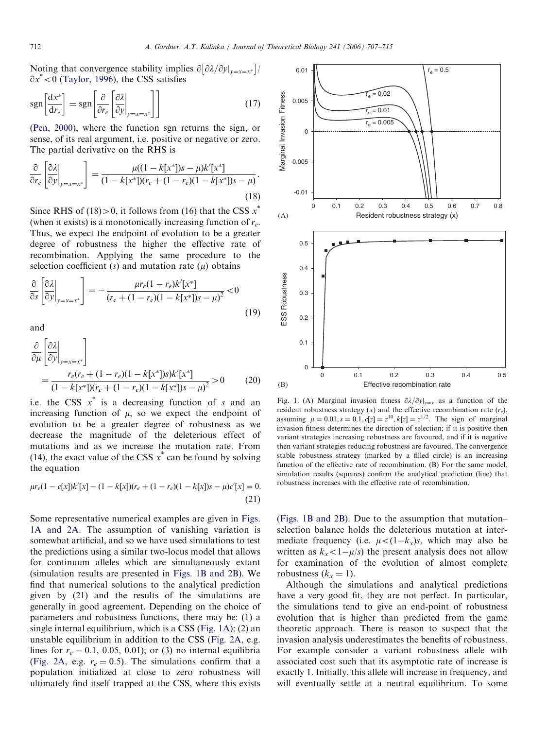Noting that convergence stability implies  $\partial [\partial \lambda / \partial y]_{y=x=x^*}]$ /  $\partial x^* < 0$  [\(Taylor, 1996](#page-8-0)), the CSS satisfies

$$
sgn\left[\frac{dx^*}{dr_e}\right] = sgn\left[\frac{\partial}{\partial r_e} \left[\frac{\partial \lambda}{\partial y}\Big|_{y=x=x^*}\right]\right]
$$
 (17)

[\(Pen, 2000](#page-8-0)), where the function sgn returns the sign, or sense, of its real argument, i.e. positive or negative or zero. The partial derivative on the RHS is

$$
\frac{\partial}{\partial r_e} \left[ \frac{\partial \lambda}{\partial y} \bigg|_{y=x=x^*} \right] = \frac{\mu((1-k[x^*])s - \mu)k'[x^*]}{(1-k[x^*]) (r_e + (1-r_e)(1-k[x^*])s - \mu)}.
$$
\n(18)

Since RHS of (18) $>0$ , it follows from (16) that the CSS  $x^*$ (when it exists) is a monotonically increasing function of  $r_e$ . Thus, we expect the endpoint of evolution to be a greater degree of robustness the higher the effective rate of recombination. Applying the same procedure to the selection coefficient (s) and mutation rate  $(\mu)$  obtains

$$
\frac{\partial}{\partial s} \left[ \frac{\partial \lambda}{\partial y} \Big|_{y=x=x^*} \right] = -\frac{\mu r_e (1 - r_e) k'[x^*]}{(r_e + (1 - r_e)(1 - k[x^*])s - \mu)^2} < 0
$$
\n(19)

and

$$
\frac{\partial}{\partial \mu} \left[ \frac{\partial \lambda}{\partial y} \Big|_{y=x=x^*} \right] \n= \frac{r_e(r_e + (1 - r_e)(1 - k[x^*])s)k'[x^*]}{(1 - k[x^*]) (r_e + (1 - r_e)(1 - k[x^*]) s - \mu)^2} > 0
$$
\n(20)

i.e. the CSS  $x^*$  is a decreasing function of s and an increasing function of  $\mu$ , so we expect the endpoint of evolution to be a greater degree of robustness as we decrease the magnitude of the deleterious effect of mutations and as we increase the mutation rate. From (14), the exact value of the CSS  $x^*$  can be found by solving the equation

$$
\mu r_e (1 - c[x])k'[x] - (1 - k[x])(r_e + (1 - r_e)(1 - k[x])s - \mu)c'[x] = 0.
$$
\n(21)

Some representative numerical examples are given in Figs. 1A and 2A. The assumption of vanishing variation is somewhat artificial, and so we have used simulations to test the predictions using a similar two-locus model that allows for continuum alleles which are simultaneously extant (simulation results are presented in Figs. 1B and 2B). We find that numerical solutions to the analytical prediction given by (21) and the results of the simulations are generally in good agreement. Depending on the choice of parameters and robustness functions, there may be: (1) a single internal equilibrium, which is a CSS (Fig. 1A); (2) an unstable equilibrium in addition to the CSS ([Fig. 2A,](#page-6-0) e.g. lines for  $r_e = 0.1, 0.05, 0.01$ ; or (3) no internal equilibria [\(Fig. 2A,](#page-6-0) e.g.  $r_e = 0.5$ ). The simulations confirm that a population initialized at close to zero robustness will ultimately find itself trapped at the CSS, where this exists



Fig. 1. (A) Marginal invasion fitness  $\partial \lambda/\partial y|_{y=x}$  as a function of the resident robustness strategy (x) and the effective recombination rate  $(r_e)$ , assuming  $\mu = 0.01, s = 0.1, c[z] = z^{10}, k[z] = z^{1/2}$ . The sign of marginal invasion fitness determines the direction of selection; if it is positive then variant strategies increasing robustness are favoured, and if it is negative then variant strategies reducing robustness are favoured. The convergence stable robustness strategy (marked by a filled circle) is an increasing function of the effective rate of recombination. (B) For the same model, simulation results (squares) confirm the analytical prediction (line) that robustness increases with the effective rate of recombination.

(Figs. 1B and 2B). Due to the assumption that mutation– selection balance holds the deleterious mutation at intermediate frequency (i.e.  $\mu < (1-k_x)s$ , which may also be written as  $k_x < 1 - \mu/s$ ) the present analysis does not allow for examination of the evolution of almost complete robustness  $(k_x = 1)$ .

Although the simulations and analytical predictions have a very good fit, they are not perfect. In particular, the simulations tend to give an end-point of robustness evolution that is higher than predicted from the game theoretic approach. There is reason to suspect that the invasion analysis underestimates the benefits of robustness. For example consider a variant robustness allele with associated cost such that its asymptotic rate of increase is exactly 1. Initially, this allele will increase in frequency, and will eventually settle at a neutral equilibrium. To some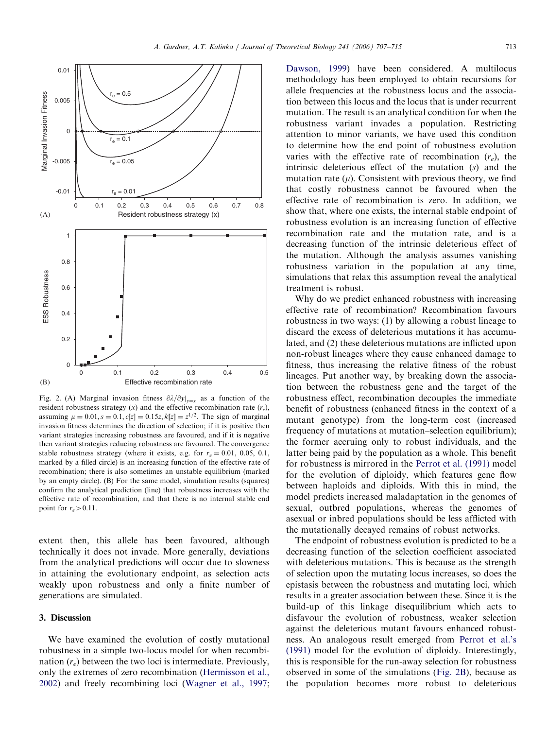<span id="page-6-0"></span>

Fig. 2. (A) Marginal invasion fitness  $\partial \lambda/\partial y|_{y=x}$  as a function of the resident robustness strategy (x) and the effective recombination rate  $(r_e)$ , assuming  $\mu = 0.01$ ,  $s = 0.1$ ,  $c[z] = 0.15z$ ,  $k[z] = z^{1/2}$ . The sign of marginal invasion fitness determines the direction of selection; if it is positive then variant strategies increasing robustness are favoured, and if it is negative then variant strategies reducing robustness are favoured. The convergence stable robustness strategy (where it exists, e.g. for  $r_e = 0.01, 0.05, 0.1$ , marked by a filled circle) is an increasing function of the effective rate of recombination; there is also sometimes an unstable equilibrium (marked by an empty circle). (B) For the same model, simulation results (squares) confirm the analytical prediction (line) that robustness increases with the effective rate of recombination, and that there is no internal stable end point for  $r_e > 0.11$ .

extent then, this allele has been favoured, although technically it does not invade. More generally, deviations from the analytical predictions will occur due to slowness in attaining the evolutionary endpoint, as selection acts weakly upon robustness and only a finite number of generations are simulated.

## 3. Discussion

We have examined the evolution of costly mutational robustness in a simple two-locus model for when recombination  $(r_e)$  between the two loci is intermediate. Previously, only the extremes of zero recombination [\(Hermisson et al.,](#page-8-0) [2002](#page-8-0)) and freely recombining loci ([Wagner et al., 1997;](#page-8-0) [Dawson, 1999\)](#page-8-0) have been considered. A multilocus methodology has been employed to obtain recursions for allele frequencies at the robustness locus and the association between this locus and the locus that is under recurrent mutation. The result is an analytical condition for when the robustness variant invades a population. Restricting attention to minor variants, we have used this condition to determine how the end point of robustness evolution varies with the effective rate of recombination  $(r_e)$ , the intrinsic deleterious effect of the mutation (s) and the mutation rate  $(\mu)$ . Consistent with previous theory, we find that costly robustness cannot be favoured when the effective rate of recombination is zero. In addition, we show that, where one exists, the internal stable endpoint of robustness evolution is an increasing function of effective recombination rate and the mutation rate, and is a decreasing function of the intrinsic deleterious effect of the mutation. Although the analysis assumes vanishing robustness variation in the population at any time, simulations that relax this assumption reveal the analytical treatment is robust.

Why do we predict enhanced robustness with increasing effective rate of recombination? Recombination favours robustness in two ways: (1) by allowing a robust lineage to discard the excess of deleterious mutations it has accumulated, and (2) these deleterious mutations are inflicted upon non-robust lineages where they cause enhanced damage to fitness, thus increasing the relative fitness of the robust lineages. Put another way, by breaking down the association between the robustness gene and the target of the robustness effect, recombination decouples the immediate benefit of robustness (enhanced fitness in the context of a mutant genotype) from the long-term cost (increased frequency of mutations at mutation–selection equilibrium); the former accruing only to robust individuals, and the latter being paid by the population as a whole. This benefit for robustness is mirrored in the [Perrot et al. \(1991\)](#page-8-0) model for the evolution of diploidy, which features gene flow between haploids and diploids. With this in mind, the model predicts increased maladaptation in the genomes of sexual, outbred populations, whereas the genomes of asexual or inbred populations should be less afflicted with the mutationally decayed remains of robust networks.

The endpoint of robustness evolution is predicted to be a decreasing function of the selection coefficient associated with deleterious mutations. This is because as the strength of selection upon the mutating locus increases, so does the epistasis between the robustness and mutating loci, which results in a greater association between these. Since it is the build-up of this linkage disequilibrium which acts to disfavour the evolution of robustness, weaker selection against the deleterious mutant favours enhanced robustness. An analogous result emerged from [Perrot et al.'s](#page-8-0) [\(1991\)](#page-8-0) model for the evolution of diploidy. Interestingly, this is responsible for the run-away selection for robustness observed in some of the simulations (Fig. 2B), because as the population becomes more robust to deleterious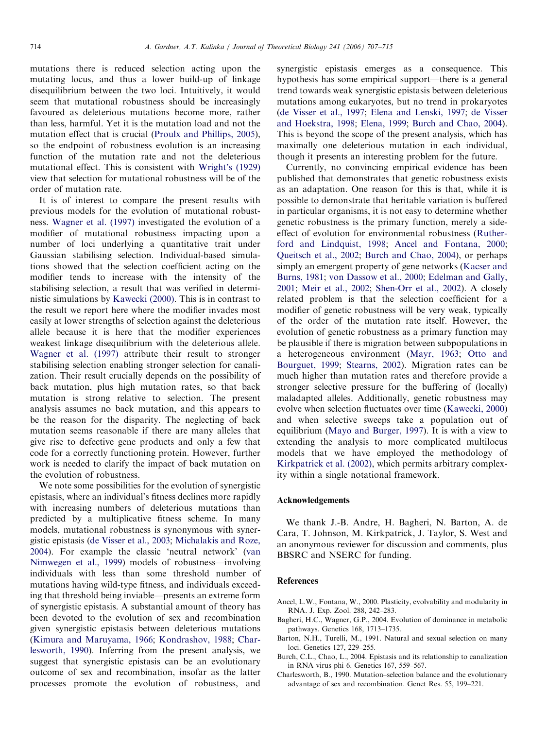<span id="page-7-0"></span>mutations there is reduced selection acting upon the mutating locus, and thus a lower build-up of linkage disequilibrium between the two loci. Intuitively, it would seem that mutational robustness should be increasingly favoured as deleterious mutations become more, rather than less, harmful. Yet it is the mutation load and not the mutation effect that is crucial [\(Proulx and Phillips, 2005\)](#page-8-0), so the endpoint of robustness evolution is an increasing function of the mutation rate and not the deleterious mutational effect. This is consistent with [Wright's \(1929\)](#page-8-0) view that selection for mutational robustness will be of the order of mutation rate.

It is of interest to compare the present results with previous models for the evolution of mutational robustness. [Wagner et al. \(1997\)](#page-8-0) investigated the evolution of a modifier of mutational robustness impacting upon a number of loci underlying a quantitative trait under Gaussian stabilising selection. Individual-based simulations showed that the selection coefficient acting on the modifier tends to increase with the intensity of the stabilising selection, a result that was verified in deterministic simulations by [Kawecki \(2000\).](#page-8-0) This is in contrast to the result we report here where the modifier invades most easily at lower strengths of selection against the deleterious allele because it is here that the modifier experiences weakest linkage disequilibrium with the deleterious allele. [Wagner et al. \(1997\)](#page-8-0) attribute their result to stronger stabilising selection enabling stronger selection for canalization. Their result crucially depends on the possibility of back mutation, plus high mutation rates, so that back mutation is strong relative to selection. The present analysis assumes no back mutation, and this appears to be the reason for the disparity. The neglecting of back mutation seems reasonable if there are many alleles that give rise to defective gene products and only a few that code for a correctly functioning protein. However, further work is needed to clarify the impact of back mutation on the evolution of robustness.

We note some possibilities for the evolution of synergistic epistasis, where an individual's fitness declines more rapidly with increasing numbers of deleterious mutations than predicted by a multiplicative fitness scheme. In many models, mutational robustness is synonymous with synergistic epistasis [\(de Visser et al., 2003](#page-8-0); [Michalakis and Roze,](#page-8-0) [2004](#page-8-0)). For example the classic 'neutral network' [\(van](#page-8-0) [Nimwegen et al., 1999](#page-8-0)) models of robustness—involving individuals with less than some threshold number of mutations having wild-type fitness, and individuals exceeding that threshold being inviable—presents an extreme form of synergistic epistasis. A substantial amount of theory has been devoted to the evolution of sex and recombination given synergistic epistasis between deleterious mutations [\(Kimura and Maruyama, 1966](#page-8-0); [Kondrashov, 1988](#page-8-0); Charlesworth, 1990). Inferring from the present analysis, we suggest that synergistic epistasis can be an evolutionary outcome of sex and recombination, insofar as the latter processes promote the evolution of robustness, and synergistic epistasis emerges as a consequence. This hypothesis has some empirical support—there is a general trend towards weak synergistic epistasis between deleterious mutations among eukaryotes, but no trend in prokaryotes [\(de Visser et al., 1997;](#page-8-0) [Elena and Lenski, 1997;](#page-8-0) [de Visser](#page-8-0) [and Hoekstra, 1998](#page-8-0); [Elena, 1999;](#page-8-0) Burch and Chao, 2004). This is beyond the scope of the present analysis, which has maximally one deleterious mutation in each individual, though it presents an interesting problem for the future.

Currently, no convincing empirical evidence has been published that demonstrates that genetic robustness exists as an adaptation. One reason for this is that, while it is possible to demonstrate that heritable variation is buffered in particular organisms, it is not easy to determine whether genetic robustness is the primary function, merely a sideeffect of evolution for environmental robustness [\(Ruther](#page-8-0)[ford and Lindquist, 1998](#page-8-0); Ancel and Fontana, 2000; [Queitsch et al., 2002;](#page-8-0) Burch and Chao, 2004), or perhaps simply an emergent property of gene networks ([Kacser and](#page-8-0) [Burns, 1981;](#page-8-0) [von Dassow et al., 2000;](#page-8-0) [Edelman and Gally,](#page-8-0) [2001;](#page-8-0) [Meir et al., 2002;](#page-8-0) [Shen-Orr et al., 2002](#page-8-0)). A closely related problem is that the selection coefficient for a modifier of genetic robustness will be very weak, typically of the order of the mutation rate itself. However, the evolution of genetic robustness as a primary function may be plausible if there is migration between subpopulations in a heterogeneous environment [\(Mayr, 1963;](#page-8-0) [Otto and](#page-8-0) [Bourguet, 1999](#page-8-0); [Stearns, 2002\)](#page-8-0). Migration rates can be much higher than mutation rates and therefore provide a stronger selective pressure for the buffering of (locally) maladapted alleles. Additionally, genetic robustness may evolve when selection fluctuates over time ([Kawecki, 2000](#page-8-0)) and when selective sweeps take a population out of equilibrium ([Mayo and Burger, 1997](#page-8-0)). It is with a view to extending the analysis to more complicated multilocus models that we have employed the methodology of [Kirkpatrick et al. \(2002\)](#page-8-0), which permits arbitrary complexity within a single notational framework.

## Acknowledgements

We thank J.-B. Andre, H. Bagheri, N. Barton, A. de Cara, T. Johnson, M. Kirkpatrick, J. Taylor, S. West and an anonymous reviewer for discussion and comments, plus BBSRC and NSERC for funding.

## References

- Ancel, L.W., Fontana, W., 2000. Plasticity, evolvability and modularity in RNA. J. Exp. Zool. 288, 242–283.
- Bagheri, H.C., Wagner, G.P., 2004. Evolution of dominance in metabolic pathways. Genetics 168, 1713–1735.
- Barton, N.H., Turelli, M., 1991. Natural and sexual selection on many loci. Genetics 127, 229–255.
- Burch, C.L., Chao, L., 2004. Epistasis and its relationship to canalization in RNA virus phi 6. Genetics 167, 559–567.
- Charlesworth, B., 1990. Mutation–selection balance and the evolutionary advantage of sex and recombination. Genet Res. 55, 199–221.